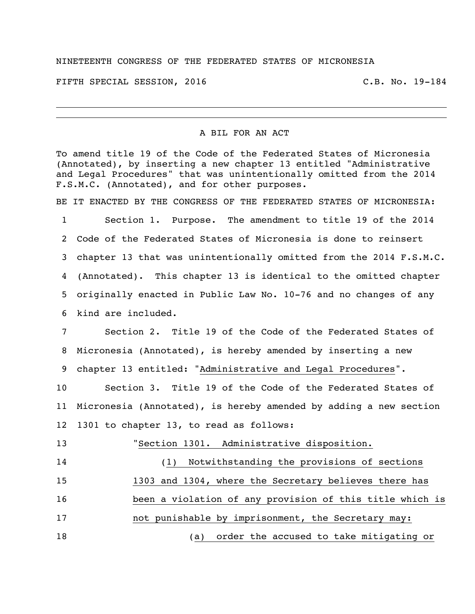## NINETEENTH CONGRESS OF THE FEDERATED STATES OF MICRONESIA

FIFTH SPECIAL SESSION, 2016 C.B. No. 19-184

## A BIL FOR AN ACT

To amend title 19 of the Code of the Federated States of Micronesia (Annotated), by inserting a new chapter 13 entitled "Administrative and Legal Procedures" that was unintentionally omitted from the 2014 F.S.M.C. (Annotated), and for other purposes.

BE IT ENACTED BY THE CONGRESS OF THE FEDERATED STATES OF MICRONESIA:

 Section 1. Purpose. The amendment to title 19 of the 2014 Code of the Federated States of Micronesia is done to reinsert chapter 13 that was unintentionally omitted from the 2014 F.S.M.C. (Annotated). This chapter 13 is identical to the omitted chapter originally enacted in Public Law No. 10-76 and no changes of any kind are included.

 Section 2. Title 19 of the Code of the Federated States of Micronesia (Annotated), is hereby amended by inserting a new chapter 13 entitled: "Administrative and Legal Procedures".

 Section 3. Title 19 of the Code of the Federated States of Micronesia (Annotated), is hereby amended by adding a new section 1301 to chapter 13, to read as follows:

 "Section 1301. Administrative disposition. (1) Notwithstanding the provisions of sections 1303 and 1304, where the Secretary believes there has been a violation of any provision of this title which is not punishable by imprisonment, the Secretary may: (a) order the accused to take mitigating or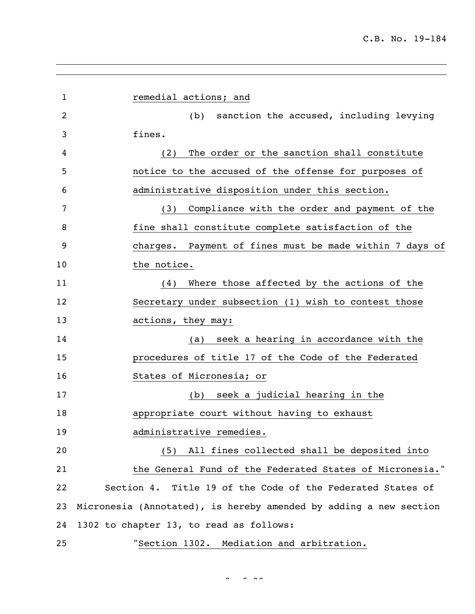| $\mathbf{1}$ | remedial actions; and                                             |
|--------------|-------------------------------------------------------------------|
| 2            | sanction the accused, including levying<br>(b)                    |
| 3            | fines.                                                            |
| 4            | The order or the sanction shall constitute<br>(2)                 |
| 5            | notice to the accused of the offense for purposes of              |
| 6            | administrative disposition under this section.                    |
| 7            | Compliance with the order and payment of the<br>(3)               |
| 8            | fine shall constitute complete satisfaction of the                |
| 9            | Payment of fines must be made within 7 days of<br>charges.        |
| 10           | the notice.                                                       |
| 11           | Where those affected by the actions of the<br>(4)                 |
| 12           | Secretary under subsection (1) wish to contest those              |
| 13           | actions, they may:                                                |
| 14           | seek a hearing in accordance with the<br>(a)                      |
| 15           | procedures of title 17 of the Code of the Federated               |
| 16           | States of Micronesia; or                                          |
| 17           | seek a judicial hearing in the<br>(b)                             |
| 18           | appropriate court without having to exhaust                       |
| 19           | administrative remedies.                                          |
| 20           | All fines collected shall be deposited into<br>(5)                |
| 21           | the General Fund of the Federated States of Micronesia."          |
| 22           | Section 4. Title 19 of the Code of the Federated States of        |
| 23           | Micronesia (Annotated), is hereby amended by adding a new section |
| 24           | 1302 to chapter 13, to read as follows:                           |
| 25           | "Section 1302. Mediation and arbitration.                         |

 $2 \times 20$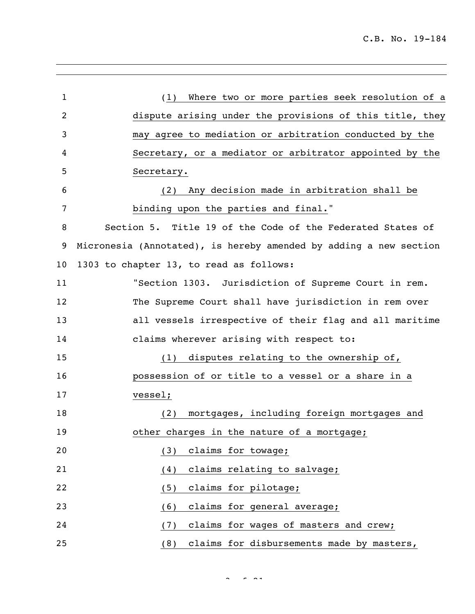| $\mathbf 1$    | Where two or more parties seek resolution of a<br>(1)             |
|----------------|-------------------------------------------------------------------|
| $\overline{2}$ | dispute arising under the provisions of this title, they          |
| 3              | may agree to mediation or arbitration conducted by the            |
| 4              | Secretary, or a mediator or arbitrator appointed by the           |
| 5              | Secretary.                                                        |
| 6              | Any decision made in arbitration shall be<br>(2)                  |
| 7              | binding upon the parties and final."                              |
| 8              | Section 5. Title 19 of the Code of the Federated States of        |
| 9              | Micronesia (Annotated), is hereby amended by adding a new section |
| 10             | 1303 to chapter 13, to read as follows:                           |
| 11             | "Section 1303. Jurisdiction of Supreme Court in rem.              |
| 12             | The Supreme Court shall have jurisdiction in rem over             |
| 13             | all vessels irrespective of their flag and all maritime           |
| 14             | claims wherever arising with respect to:                          |
| 15             | disputes relating to the ownership of,<br>(1)                     |
| 16             | possession of or title to a vessel or a share in a                |
| 17             | vessel;                                                           |
| 18             | mortgages, including foreign mortgages and<br>(2)                 |
| 19             | other charges in the nature of a mortgage;                        |
| 20             | claims for towage;<br>(3)                                         |
| 21             | claims relating to salvage;<br>(4)                                |
| 22             | claims for pilotage;<br>(5)                                       |
| 23             | claims for general average;<br>(6)                                |
| 24             | claims for wages of masters and crew;<br>(7)                      |
| 25             | claims for disbursements made by masters,<br>(8)                  |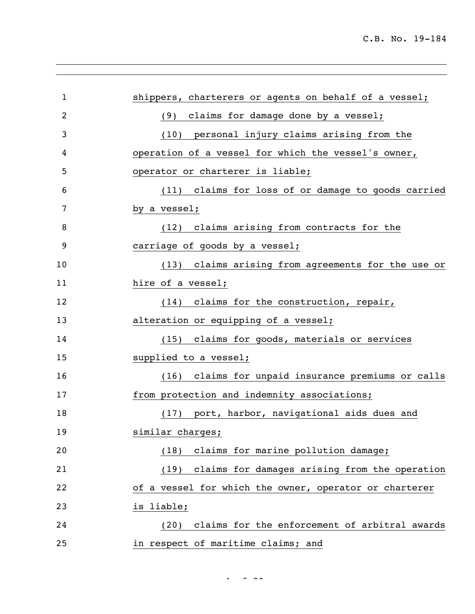| 1  | shippers, charterers or agents on behalf of a vessel;  |
|----|--------------------------------------------------------|
| 2  | (9) claims for damage done by a vessel;                |
| 3  | (10) personal injury claims arising from the           |
| 4  | operation of a vessel for which the vessel's owner,    |
| 5  | operator or charterer is liable;                       |
| 6  | (11) claims for loss of or damage to goods carried     |
| 7  | by a vessel;                                           |
| 8  | (12) claims arising from contracts for the             |
| 9  | carriage of goods by a vessel;                         |
| 10 | (13) claims arising from agreements for the use or     |
| 11 | hire of a vessel;                                      |
| 12 | (14) claims for the construction, repair,              |
| 13 | alteration or equipping of a vessel;                   |
| 14 | (15) claims for goods, materials or services           |
| 15 | supplied to a vessel;                                  |
| 16 | (16) claims for unpaid insurance premiums or calls     |
| 17 | from protection and indemnity associations;            |
| 18 | (17) port, harbor, navigational aids dues and          |
| 19 | similar charges;                                       |
| 20 | claims for marine pollution damage;<br>(18)            |
| 21 | (19) claims for damages arising from the operation     |
| 22 | of a vessel for which the owner, operator or charterer |
| 23 | is liable;                                             |
| 24 | claims for the enforcement of arbitral awards<br>(20)  |
| 25 | in respect of maritime claims; and                     |

 $4 - 20$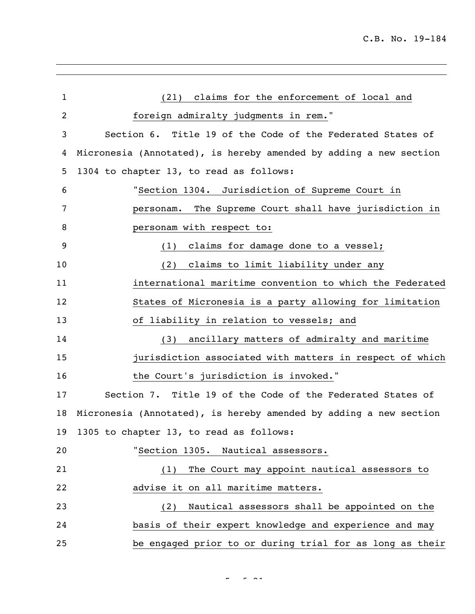| $\mathbf{1}$   | (21) claims for the enforcement of local and                      |
|----------------|-------------------------------------------------------------------|
| $\overline{2}$ | foreign admiralty judgments in rem."                              |
| 3              | Section 6. Title 19 of the Code of the Federated States of        |
| 4              | Micronesia (Annotated), is hereby amended by adding a new section |
| 5              | 1304 to chapter 13, to read as follows:                           |
| 6              | "Section 1304. Jurisdiction of Supreme Court in                   |
| 7              | The Supreme Court shall have jurisdiction in<br>personam.         |
| 8              | personam with respect to:                                         |
| 9              | claims for damage done to a vessel;<br>(1)                        |
| 10             | claims to limit liability under any<br>(2)                        |
| 11             | international maritime convention to which the Federated          |
| 12             | States of Micronesia is a party allowing for limitation           |
| 13             | of liability in relation to vessels; and                          |
| 14             | ancillary matters of admiralty and maritime<br>(3)                |
| 15             | jurisdiction associated with matters in respect of which          |
| 16             | the Court's jurisdiction is invoked."                             |
| 17             | Section 7. Title 19 of the Code of the Federated States of        |
| 18             | Micronesia (Annotated), is hereby amended by adding a new section |
|                | 19 1305 to chapter 13, to read as follows:                        |
| 20             | "Section 1305. Nautical assessors.                                |
| 21             | The Court may appoint nautical assessors to<br>(1)                |
| 22             | advise it on all maritime matters.                                |
| 23             | Nautical assessors shall be appointed on the<br>(2)               |
| 24             | basis of their expert knowledge and experience and may            |
| 25             | be engaged prior to or during trial for as long as their          |

 $\frac{1}{2}$  of  $\frac{1}{2}$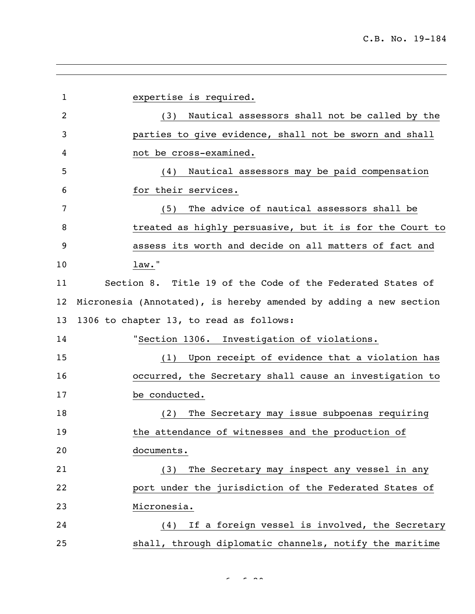expertise is required. (3) Nautical assessors shall not be called by the parties to give evidence, shall not be sworn and shall not be cross-examined. (4) Nautical assessors may be paid compensation for their services. (5) The advice of nautical assessors shall be treated as highly persuasive, but it is for the Court to assess its worth and decide on all matters of fact and law." Section 8. Title 19 of the Code of the Federated States of Micronesia (Annotated), is hereby amended by adding a new section 1306 to chapter 13, to read as follows: "Section 1306. Investigation of violations. (1) Upon receipt of evidence that a violation has occurred, the Secretary shall cause an investigation to be conducted. (2) The Secretary may issue subpoenas requiring **the attendance of witnesses and the production of**  documents. (3) The Secretary may inspect any vessel in any port under the jurisdiction of the Federated States of Micronesia. (4) If a foreign vessel is involved, the Secretary shall, through diplomatic channels, notify the maritime

 $\sim$   $\sim$   $\sim$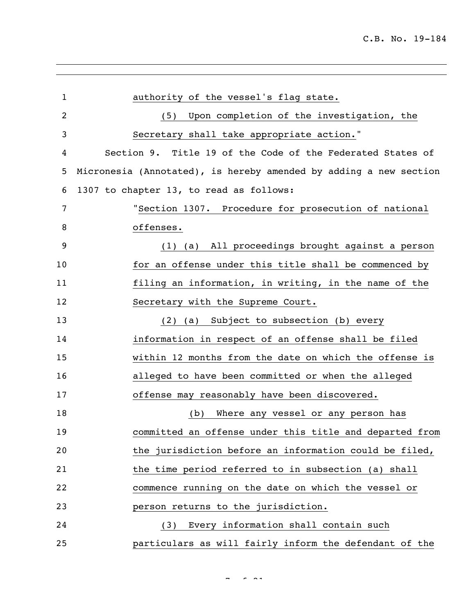| $\mathbf{1}$ | authority of the vessel's flag state.                             |
|--------------|-------------------------------------------------------------------|
| 2            | Upon completion of the investigation, the<br>(5)                  |
| 3            | Secretary shall take appropriate action."                         |
| 4            | Section 9. Title 19 of the Code of the Federated States of        |
| 5            | Micronesia (Annotated), is hereby amended by adding a new section |
| 6            | 1307 to chapter 13, to read as follows:                           |
| 7            | "Section 1307. Procedure for prosecution of national              |
| 8            | offenses.                                                         |
| 9            | (1) (a) All proceedings brought against a person                  |
| 10           | for an offense under this title shall be commenced by             |
| 11           | filing an information, in writing, in the name of the             |
| 12           | Secretary with the Supreme Court.                                 |
| 13           | (2) (a) Subject to subsection (b) every                           |
| 14           | information in respect of an offense shall be filed               |
| 15           | within 12 months from the date on which the offense is            |
| 16           | alleged to have been committed or when the alleged                |
| 17           | offense may reasonably have been discovered.                      |
| 18           | Where any vessel or any person has<br>(b)                         |
| 19           | committed an offense under this title and departed from           |
| 20           | the jurisdiction before an information could be filed,            |
| 21           | the time period referred to in subsection (a) shall               |
| 22           | commence running on the date on which the vessel or               |
| 23           | person returns to the jurisdiction.                               |
| 24           | Every information shall contain such<br>(3)                       |
| 25           | particulars as will fairly inform the defendant of the            |

 $\sim$   $\sim$   $\sim$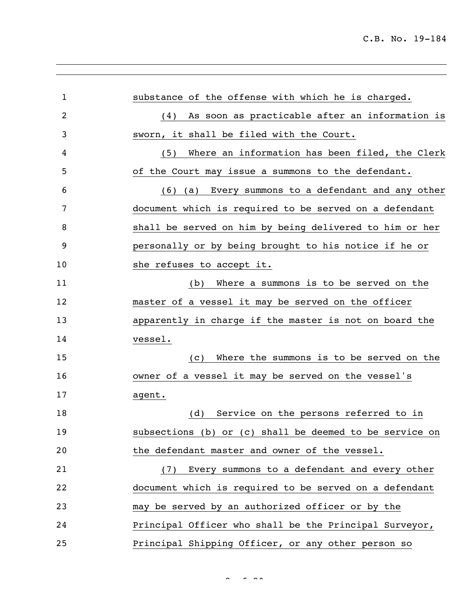| $\mathbf 1$ | substance of the offense with which he is charged.      |
|-------------|---------------------------------------------------------|
| 2           | As soon as practicable after an information is<br>(4)   |
| 3           | sworn, it shall be filed with the Court.                |
| 4           | Where an information has been filed, the Clerk<br>(5)   |
| 5           | of the Court may issue a summons to the defendant.      |
| 6           | (6) (a) Every summons to a defendant and any other      |
| 7           | document which is required to be served on a defendant  |
| 8           | shall be served on him by being delivered to him or her |
| 9           | personally or by being brought to his notice if he or   |
| 10          | she refuses to accept it.                               |
| 11          | Where a summons is to be served on the<br>(b)           |
| 12          | master of a vessel it may be served on the officer      |
| 13          | apparently in charge if the master is not on board the  |
| 14          | vessel.                                                 |
| 15          | Where the summons is to be served on the<br>(C)         |
| 16          | owner of a vessel it may be served on the vessel's      |
| 17          | agent.                                                  |
| 18          | Service on the persons referred to in<br>(d)            |
| 19          | subsections (b) or (c) shall be deemed to be service on |
| 20          | the defendant master and owner of the vessel.           |
| 21          | (7) Every summons to a defendant and every other        |
| 22          | document which is required to be served on a defendant  |
| 23          | may be served by an authorized officer or by the        |
| 24          | Principal Officer who shall be the Principal Surveyor,  |
| 25          | Principal Shipping Officer, or any other person so      |

 $8<sup>2</sup>$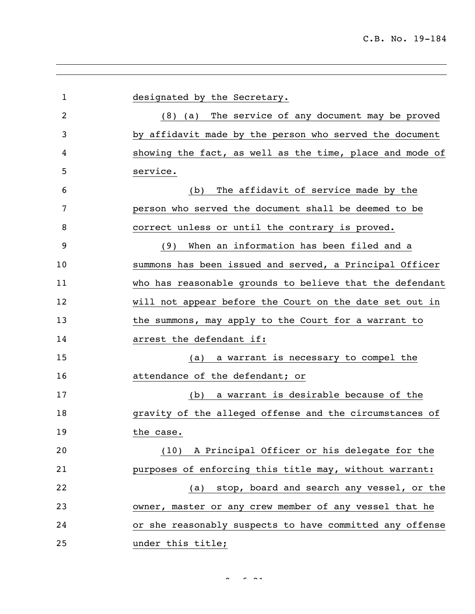designated by the Secretary. (8) (a) The service of any document may be proved by affidavit made by the person who served the document showing the fact, as well as the time, place and mode of service. (b) The affidavit of service made by the person who served the document shall be deemed to be correct unless or until the contrary is proved. (9) When an information has been filed and a summons has been issued and served, a Principal Officer who has reasonable grounds to believe that the defendant will not appear before the Court on the date set out in 13 the summons, may apply to the Court for a warrant to **arrest** the defendant if: (a) a warrant is necessary to compel the attendance of the defendant; or (b) a warrant is desirable because of the gravity of the alleged offense and the circumstances of the case. (10) A Principal Officer or his delegate for the purposes of enforcing this title may, without warrant: (a) stop, board and search any vessel, or the owner, master or any crew member of any vessel that he or she reasonably suspects to have committed any offense under this title;

 $\sim$  21 of 21 of 21 of 21 of 21 of 21 of 21 of 21 of 21 of 21 of 21 of 21 of 21 of 21 of 21 of 21 of 21 of 21 of 21 of 21 of 21 of 21 of 21 of 21 of 21 of 21 of 21 of 21 of 21 of 21 of 21 of 21 of 21 of 21 of 21 of 21 of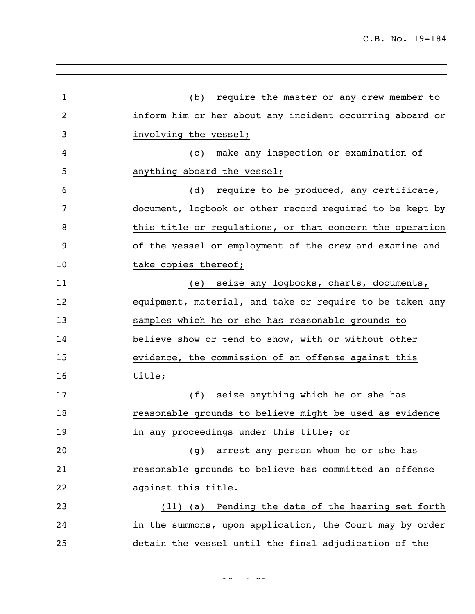| $\mathbf{1}$ | require the master or any crew member to<br>(b)          |
|--------------|----------------------------------------------------------|
| 2            | inform him or her about any incident occurring aboard or |
|              |                                                          |
| 3            | involving the vessel;                                    |
| 4            | make any inspection or examination of<br>(C)             |
| 5            | anything aboard the vessel;                              |
| 6            | (d) require to be produced, any certificate,             |
| 7            | document, logbook or other record required to be kept by |
| 8            | this title or regulations, or that concern the operation |
| 9            | of the vessel or employment of the crew and examine and  |
| 10           | take copies thereof;                                     |
| 11           | (e) seize any logbooks, charts, documents,               |
| 12           | equipment, material, and take or require to be taken any |
| 13           | samples which he or she has reasonable grounds to        |
| 14           | believe show or tend to show, with or without other      |
| 15           | evidence, the commission of an offense against this      |
| 16           | title;                                                   |
| 17           | seize anything which he or she has<br>(f)                |
| 18           | reasonable grounds to believe might be used as evidence  |
| 19           | in any proceedings under this title; or                  |
| 20           | (g) arrest any person whom he or she has                 |
| 21           | reasonable grounds to believe has committed an offense   |
| 22           | against this title.                                      |
| 23           | Pending the date of the hearing set forth<br>$(11)$ (a)  |
| 24           | in the summons, upon application, the Court may by order |
| 25           | detain the vessel until the final adjudication of the    |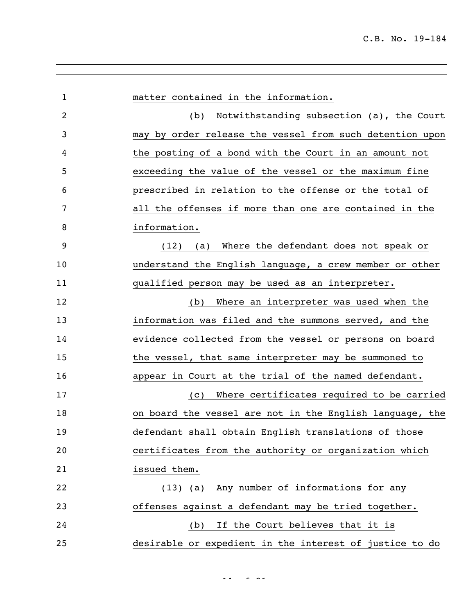| $\mathbf{1}$   | matter contained in the information.                     |
|----------------|----------------------------------------------------------|
| $\overline{2}$ | Notwithstanding subsection (a), the Court<br>(b)         |
| 3              | may by order release the vessel from such detention upon |
| 4              | the posting of a bond with the Court in an amount not    |
| 5              | exceeding the value of the vessel or the maximum fine    |
| 6              | prescribed in relation to the offense or the total of    |
| 7              | all the offenses if more than one are contained in the   |
| 8              | information.                                             |
| 9              | Where the defendant does not speak or<br>(12)<br>(a)     |
| 10             | understand the English language, a crew member or other  |
| 11             | qualified person may be used as an interpreter.          |
| 12             | Where an interpreter was used when the<br>(b)            |
| 13             | information was filed and the summons served, and the    |
| 14             | evidence collected from the vessel or persons on board   |
| 15             | the vessel, that same interpreter may be summoned to     |
| 16             | appear in Court at the trial of the named defendant.     |
| 17             | Where certificates required to be carried<br>(C)         |
| 18             | on board the vessel are not in the English language, the |
| 19             | defendant shall obtain English translations of those     |
| 20             | certificates from the authority or organization which    |
| 21             | issued them.                                             |
| 22             | (13) (a) Any number of informations for any              |
| 23             | offenses against a defendant may be tried together.      |
| 24             | If the Court believes that it is<br>(b)                  |
| 25             | desirable or expedient in the interest of justice to do  |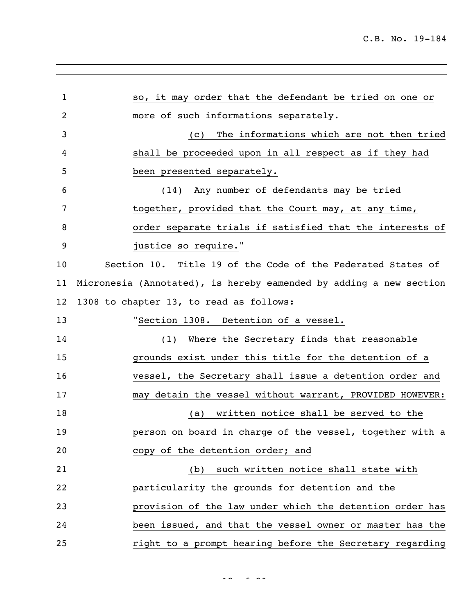| 1  | so, it may order that the defendant be tried on one or             |
|----|--------------------------------------------------------------------|
| 2  | more of such informations separately.                              |
| 3  | The informations which are not then tried<br>(C)                   |
| 4  | shall be proceeded upon in all respect as if they had              |
| 5  | been presented separately.                                         |
| 6  | (14) Any number of defendants may be tried                         |
| 7  | together, provided that the Court may, at any time,                |
| 8  | order separate trials if satisfied that the interests of           |
| 9  | justice so require."                                               |
| 10 | Section 10. Title 19 of the Code of the Federated States of        |
| 11 | Micronesia (Annotated), is hereby eamended by adding a new section |
| 12 | 1308 to chapter 13, to read as follows:                            |
| 13 | "Section 1308. Detention of a vessel.                              |
| 14 | (1) Where the Secretary finds that reasonable                      |
| 15 | grounds exist under this title for the detention of a              |
| 16 | vessel, the Secretary shall issue a detention order and            |
| 17 | may detain the vessel without warrant, PROVIDED HOWEVER:           |
| 18 | (a) written notice shall be served to the                          |
| 19 | person on board in charge of the vessel, together with a           |
| 20 | copy of the detention order; and                                   |
| 21 | such written notice shall state with<br>(b)                        |
| 22 | particularity the grounds for detention and the                    |
| 23 | provision of the law under which the detention order has           |
| 24 | been issued, and that the vessel owner or master has the           |
| 25 | right to a prompt hearing before the Secretary regarding           |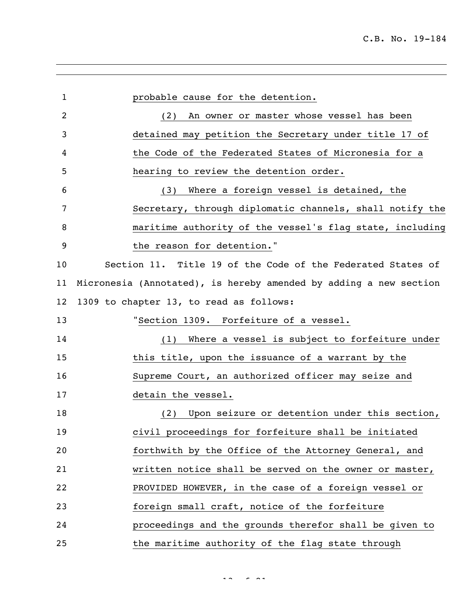probable cause for the detention. (2) An owner or master whose vessel has been detained may petition the Secretary under title 17 of the Code of the Federated States of Micronesia for a hearing to review the detention order. (3) Where a foreign vessel is detained, the Secretary, through diplomatic channels, shall notify the maritime authority of the vessel's flag state, including 9 the reason for detention." Section 11. Title 19 of the Code of the Federated States of Micronesia (Annotated), is hereby amended by adding a new section 1309 to chapter 13, to read as follows: "Section 1309. Forfeiture of a vessel. (1) Where a vessel is subject to forfeiture under this title, upon the issuance of a warrant by the Supreme Court, an authorized officer may seize and detain the vessel. (2) Upon seizure or detention under this section, civil proceedings for forfeiture shall be initiated forthwith by the Office of the Attorney General, and written notice shall be served on the owner or master, PROVIDED HOWEVER, in the case of a foreign vessel or foreign small craft, notice of the forfeiture proceedings and the grounds therefor shall be given to the maritime authority of the flag state through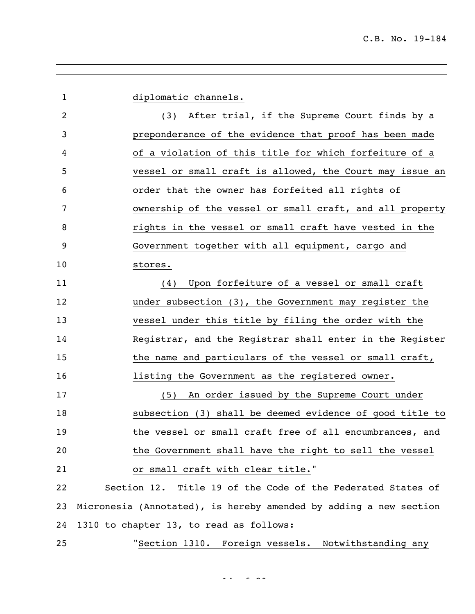diplomatic channels. (3) After trial, if the Supreme Court finds by a preponderance of the evidence that proof has been made of a violation of this title for which forfeiture of a vessel or small craft is allowed, the Court may issue an order that the owner has forfeited all rights of ownership of the vessel or small craft, and all property rights in the vessel or small craft have vested in the Government together with all equipment, cargo and stores. (4) Upon forfeiture of a vessel or small craft under subsection (3), the Government may register the vessel under this title by filing the order with the Registrar, and the Registrar shall enter in the Register 15 the name and particulars of the vessel or small craft, listing the Government as the registered owner. (5) An order issued by the Supreme Court under subsection (3) shall be deemed evidence of good title to the vessel or small craft free of all encumbrances, and the Government shall have the right to sell the vessel or small craft with clear title." Section 12. Title 19 of the Code of the Federated States of Micronesia (Annotated), is hereby amended by adding a new section 1310 to chapter 13, to read as follows: "Section 1310. Foreign vessels. Notwithstanding any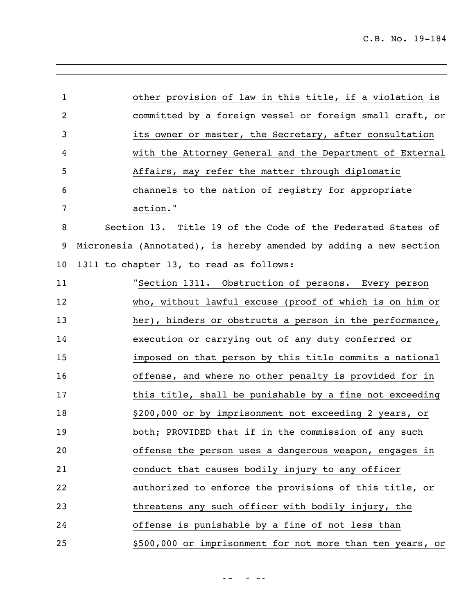| $\mathbf{1}$   | other provision of law in this title, if a violation is           |
|----------------|-------------------------------------------------------------------|
| $\overline{c}$ | committed by a foreign vessel or foreign small craft, or          |
| 3              | its owner or master, the Secretary, after consultation            |
| 4              | with the Attorney General and the Department of External          |
| 5              | Affairs, may refer the matter through diplomatic                  |
| 6              | channels to the nation of registry for appropriate                |
| 7              | action."                                                          |
| 8              | Section 13. Title 19 of the Code of the Federated States of       |
| 9              | Micronesia (Annotated), is hereby amended by adding a new section |
| 10             | 1311 to chapter 13, to read as follows:                           |
| 11             | "Section 1311. Obstruction of persons. Every person               |
| 12             | who, without lawful excuse (proof of which is on him or           |
| 13             | her), hinders or obstructs a person in the performance,           |
| 14             | execution or carrying out of any duty conferred or                |
| 15             | imposed on that person by this title commits a national           |
| 16             | offense, and where no other penalty is provided for in            |
| 17             | this title, shall be punishable by a fine not exceeding           |
| 18             | \$200,000 or by imprisonment not exceeding 2 years, or            |
| 19             | both; PROVIDED that if in the commission of any such              |
| 20             | offense the person uses a dangerous weapon, engages in            |
| 21             | conduct that causes bodily injury to any officer                  |
| 22             | authorized to enforce the provisions of this title, or            |
| 23             | threatens any such officer with bodily injury, the                |
| 24             | offense is punishable by a fine of not less than                  |
| 25             | \$500,000 or imprisonment for not more than ten years, or         |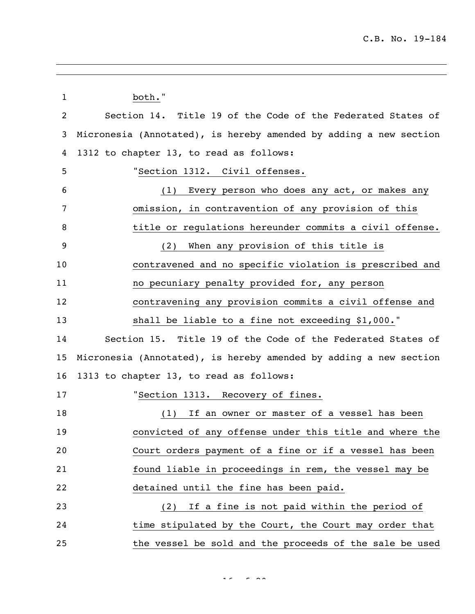| 1  | both."                                                            |
|----|-------------------------------------------------------------------|
| 2  | Section 14. Title 19 of the Code of the Federated States of       |
| 3  | Micronesia (Annotated), is hereby amended by adding a new section |
| 4  | 1312 to chapter 13, to read as follows:                           |
| 5  | "Section 1312. Civil offenses.                                    |
| 6  | Every person who does any act, or makes any<br>(1)                |
| 7  | omission, in contravention of any provision of this               |
| 8  | title or regulations hereunder commits a civil offense.           |
| 9  | When any provision of this title is<br>(2)                        |
| 10 | contravened and no specific violation is prescribed and           |
| 11 | no pecuniary penalty provided for, any person                     |
| 12 | contravening any provision commits a civil offense and            |
| 13 | shall be liable to a fine not exceeding \$1,000."                 |
| 14 | Section 15. Title 19 of the Code of the Federated States of       |
| 15 | Micronesia (Annotated), is hereby amended by adding a new section |
| 16 | 1313 to chapter 13, to read as follows:                           |
| 17 | "Section 1313. Recovery of fines.                                 |
| 18 | If an owner or master of a vessel has been<br>(1)                 |
| 19 | convicted of any offense under this title and where the           |
| 20 | Court orders payment of a fine or if a vessel has been            |
| 21 | found liable in proceedings in rem, the vessel may be             |
| 22 | detained until the fine has been paid.                            |
| 23 | If a fine is not paid within the period of<br>(2)                 |
| 24 | time stipulated by the Court, the Court may order that            |
| 25 | the vessel be sold and the proceeds of the sale be used           |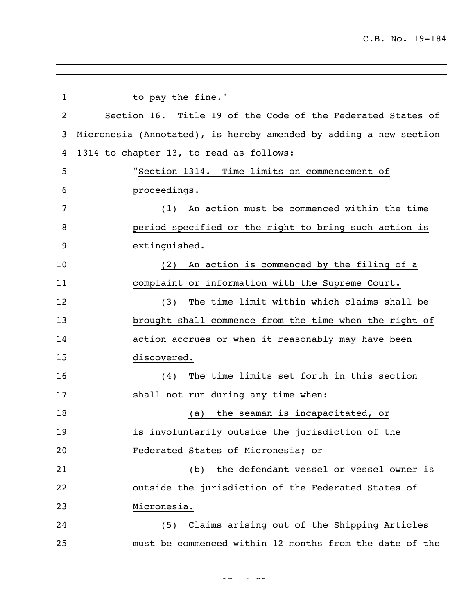| $\mathbf 1$    | to pay the fine."                                                 |
|----------------|-------------------------------------------------------------------|
| $\overline{2}$ | Section 16. Title 19 of the Code of the Federated States of       |
| 3              | Micronesia (Annotated), is hereby amended by adding a new section |
| 4              | 1314 to chapter 13, to read as follows:                           |
| 5              | "Section 1314. Time limits on commencement of                     |
| 6              | proceedings.                                                      |
| 7              | An action must be commenced within the time<br>(1)                |
| 8              | period specified or the right to bring such action is             |
| 9              | extinguished.                                                     |
| 10             | An action is commenced by the filing of a<br>(2)                  |
| 11             | complaint or information with the Supreme Court.                  |
| 12             | The time limit within which claims shall be<br>(3)                |
| 13             | brought shall commence from the time when the right of            |
| 14             | action accrues or when it reasonably may have been                |
| 15             | discovered.                                                       |
| 16             | The time limits set forth in this section<br>(4)                  |
| 17             | shall not run during any time when:                               |
| 18             | the seaman is incapacitated, or<br>(a)                            |
| 19             | is involuntarily outside the jurisdiction of the                  |
| 20             | Federated States of Micronesia; or                                |
| 21             | the defendant vessel or vessel owner is<br>(b)                    |
| 22             | outside the jurisdiction of the Federated States of               |
| 23             | Micronesia.                                                       |
| 24             | Claims arising out of the Shipping Articles<br>(5)                |
| 25             | must be commenced within 12 months from the date of the           |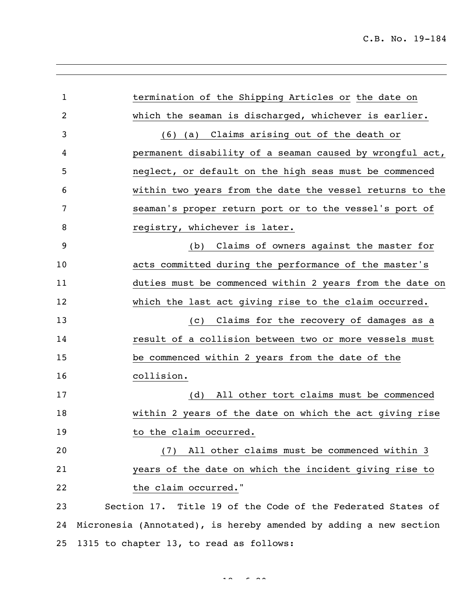| $\mathbf{1}$   | termination of the Shipping Articles or the date on               |
|----------------|-------------------------------------------------------------------|
| $\overline{2}$ | which the seaman is discharged, whichever is earlier.             |
| 3              | (6) (a) Claims arising out of the death or                        |
| 4              | permanent disability of a seaman caused by wrongful act,          |
| 5              | neglect, or default on the high seas must be commenced            |
| 6              | within two years from the date the vessel returns to the          |
| 7              | seaman's proper return port or to the vessel's port of            |
| 8              | registry, whichever is later.                                     |
| 9              | (b) Claims of owners against the master for                       |
| 10             | acts committed during the performance of the master's             |
| 11             | duties must be commenced within 2 years from the date on          |
| 12             | which the last act giving rise to the claim occurred.             |
| 13             | (c) Claims for the recovery of damages as a                       |
| 14             | result of a collision between two or more vessels must            |
| 15             | be commenced within 2 years from the date of the                  |
| 16             | collision.                                                        |
| 17             | All other tort claims must be commenced<br>(d)                    |
| 18             | within 2 years of the date on which the act giving rise           |
| 19             | to the claim occurred.                                            |
| 20             | All other claims must be commenced within 3<br>(7)                |
| 21             | years of the date on which the incident giving rise to            |
| 22             | the claim occurred."                                              |
| 23             | Section 17. Title 19 of the Code of the Federated States of       |
| 24             | Micronesia (Annotated), is hereby amended by adding a new section |
| 25             | 1315 to chapter 13, to read as follows:                           |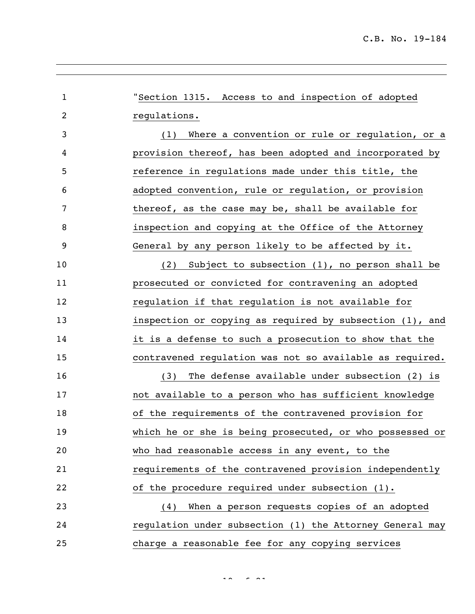"Section 1315. Access to and inspection of adopted regulations. (1) Where a convention or rule or regulation, or a provision thereof, has been adopted and incorporated by reference in regulations made under this title, the adopted convention, rule or regulation, or provision 7 thereof, as the case may be, shall be available for inspection and copying at the Office of the Attorney General by any person likely to be affected by it. (2) Subject to subsection (1), no person shall be prosecuted or convicted for contravening an adopted **regulation if that regulation is not available for**  inspection or copying as required by subsection (1), and it is a defense to such a prosecution to show that the contravened regulation was not so available as required. (3) The defense available under subsection (2) is not available to a person who has sufficient knowledge of the requirements of the contravened provision for which he or she is being prosecuted, or who possessed or who had reasonable access in any event, to the requirements of the contravened provision independently of the procedure required under subsection (1). (4) When a person requests copies of an adopted regulation under subsection (1) the Attorney General may charge a reasonable fee for any copying services